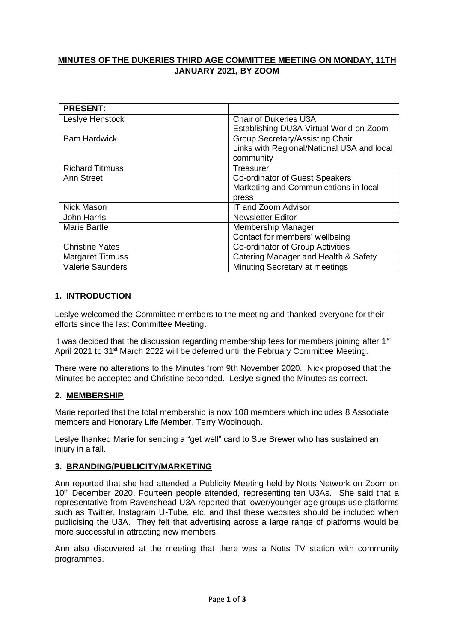# **MINUTES OF THE DUKERIES THIRD AGE COMMITTEE MEETING ON MONDAY, 11TH JANUARY 2021, BY ZOOM**

| <b>PRESENT:</b>         |                                            |
|-------------------------|--------------------------------------------|
| Leslye Henstock         | <b>Chair of Dukeries U3A</b>               |
|                         | Establishing DU3A Virtual World on Zoom    |
| <b>Pam Hardwick</b>     | <b>Group Secretary/Assisting Chair</b>     |
|                         | Links with Regional/National U3A and local |
|                         | community                                  |
| <b>Richard Titmuss</b>  | Treasurer                                  |
| Ann Street              | Co-ordinator of Guest Speakers             |
|                         | Marketing and Communications in local      |
|                         | press                                      |
| <b>Nick Mason</b>       | IT and Zoom Advisor                        |
| <b>John Harris</b>      | <b>Newsletter Editor</b>                   |
| <b>Marie Bartle</b>     | <b>Membership Manager</b>                  |
|                         | Contact for members' wellbeing             |
| <b>Christine Yates</b>  | Co-ordinator of Group Activities           |
| <b>Margaret Titmuss</b> | Catering Manager and Health & Safety       |
| <b>Valerie Saunders</b> | Minuting Secretary at meetings             |

### **1. INTRODUCTION**

Leslye welcomed the Committee members to the meeting and thanked everyone for their efforts since the last Committee Meeting.

It was decided that the discussion regarding membership fees for members joining after 1<sup>st</sup> April 2021 to 31<sup>st</sup> March 2022 will be deferred until the February Committee Meeting.

There were no alterations to the Minutes from 9th November 2020. Nick proposed that the Minutes be accepted and Christine seconded. Leslye signed the Minutes as correct.

### **2. MEMBERSHIP**

Marie reported that the total membership is now 108 members which includes 8 Associate members and Honorary Life Member, Terry Woolnough.

Leslye thanked Marie for sending a "get well" card to Sue Brewer who has sustained an injury in a fall.

### **3. BRANDING/PUBLICITY/MARKETING**

Ann reported that she had attended a Publicity Meeting held by Notts Network on Zoom on 10<sup>th</sup> December 2020. Fourteen people attended, representing ten U3As. She said that a representative from Ravenshead U3A reported that lower/younger age groups use platforms such as Twitter, Instagram U-Tube, etc. and that these websites should be included when publicising the U3A. They felt that advertising across a large range of platforms would be more successful in attracting new members.

Ann also discovered at the meeting that there was a Notts TV station with community programmes.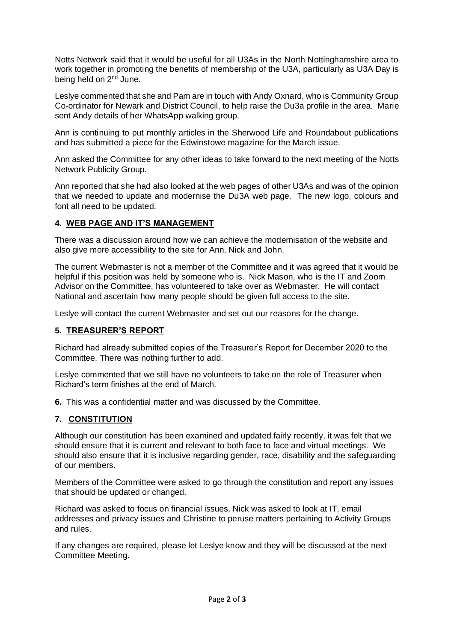Notts Network said that it would be useful for all U3As in the North Nottinghamshire area to work together in promoting the benefits of membership of the U3A, particularly as U3A Day is being held on 2<sup>nd</sup> June.

Leslye commented that she and Pam are in touch with Andy Oxnard, who is Community Group Co-ordinator for Newark and District Council, to help raise the Du3a profile in the area. Marie sent Andy details of her WhatsApp walking group.

Ann is continuing to put monthly articles in the Sherwood Life and Roundabout publications and has submitted a piece for the Edwinstowe magazine for the March issue.

Ann asked the Committee for any other ideas to take forward to the next meeting of the Notts Network Publicity Group.

Ann reported that she had also looked at the web pages of other U3As and was of the opinion that we needed to update and modernise the Du3A web page. The new logo, colours and font all need to be updated.

### **4. WEB PAGE AND IT'S MANAGEMENT**

There was a discussion around how we can achieve the modernisation of the website and also give more accessibility to the site for Ann, Nick and John.

The current Webmaster is not a member of the Committee and it was agreed that it would be helpful if this position was held by someone who is. Nick Mason, who is the IT and Zoom Advisor on the Committee, has volunteered to take over as Webmaster. He will contact National and ascertain how many people should be given full access to the site.

Leslye will contact the current Webmaster and set out our reasons for the change.

### **5. TREASURER'S REPORT**

Richard had already submitted copies of the Treasurer's Report for December 2020 to the Committee. There was nothing further to add.

Leslye commented that we still have no volunteers to take on the role of Treasurer when Richard's term finishes at the end of March.

**6.** This was a confidential matter and was discussed by the Committee.

### **7. CONSTITUTION**

Although our constitution has been examined and updated fairly recently, it was felt that we should ensure that it is current and relevant to both face to face and virtual meetings. We should also ensure that it is inclusive regarding gender, race, disability and the safeguarding of our members.

Members of the Committee were asked to go through the constitution and report any issues that should be updated or changed.

Richard was asked to focus on financial issues, Nick was asked to look at IT, email addresses and privacy issues and Christine to peruse matters pertaining to Activity Groups and rules.

If any changes are required, please let Leslye know and they will be discussed at the next Committee Meeting.